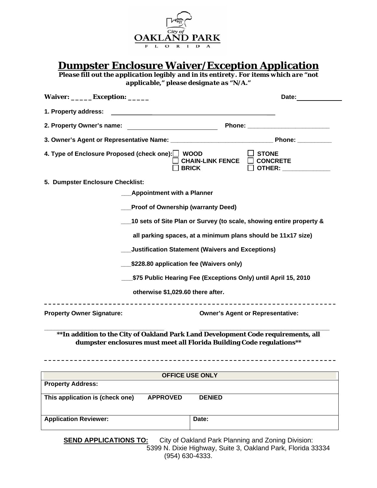

**Dumpster Enclosure Waiver/Exception Application**

*Please fill out the application legibly and in its entirety. For items which are "not applicable," please designate as "N/A."* 

| Waiver: ______Exception: ______                                                                                                                             | Date:                                                                      |  |  |  |  |  |  |
|-------------------------------------------------------------------------------------------------------------------------------------------------------------|----------------------------------------------------------------------------|--|--|--|--|--|--|
| 1. Property address:                                                                                                                                        |                                                                            |  |  |  |  |  |  |
| 2. Property Owner's name:                                                                                                                                   |                                                                            |  |  |  |  |  |  |
|                                                                                                                                                             |                                                                            |  |  |  |  |  |  |
| 4. Type of Enclosure Proposed (check one): WOOD                                                                                                             | <b>STONE</b><br><b>CHAIN-LINK FENCE</b><br><b>CONCRETE</b><br><b>BRICK</b> |  |  |  |  |  |  |
| 5. Dumpster Enclosure Checklist:                                                                                                                            |                                                                            |  |  |  |  |  |  |
| <b>Appointment with a Planner</b>                                                                                                                           |                                                                            |  |  |  |  |  |  |
|                                                                                                                                                             | <b>Proof of Ownership (warranty Deed)</b>                                  |  |  |  |  |  |  |
|                                                                                                                                                             | 10 sets of Site Plan or Survey (to scale, showing entire property &        |  |  |  |  |  |  |
|                                                                                                                                                             | all parking spaces, at a minimum plans should be 11x17 size)               |  |  |  |  |  |  |
|                                                                                                                                                             | Justification Statement (Waivers and Exceptions)                           |  |  |  |  |  |  |
|                                                                                                                                                             | \$228.80 application fee (Waivers only)                                    |  |  |  |  |  |  |
|                                                                                                                                                             | \$75 Public Hearing Fee (Exceptions Only) until April 15, 2010             |  |  |  |  |  |  |
|                                                                                                                                                             | otherwise \$1,029.60 there after.                                          |  |  |  |  |  |  |
| <b>Property Owner Signature:</b>                                                                                                                            | <b>Owner's Agent or Representative:</b>                                    |  |  |  |  |  |  |
| ** In addition to the City of Oakland Park Land Development Code requirements, all<br>dumpster enclosures must meet all Florida Building Code regulations** |                                                                            |  |  |  |  |  |  |
|                                                                                                                                                             |                                                                            |  |  |  |  |  |  |
| <b>OFFICE USE ONLY</b><br><b>Property Address:</b>                                                                                                          |                                                                            |  |  |  |  |  |  |
|                                                                                                                                                             |                                                                            |  |  |  |  |  |  |
| This application is (check one)<br><b>APPROVED</b>                                                                                                          | <b>DENIED</b>                                                              |  |  |  |  |  |  |
| <b>Application Reviewer:</b>                                                                                                                                | Date:                                                                      |  |  |  |  |  |  |
|                                                                                                                                                             |                                                                            |  |  |  |  |  |  |

**SEND APPLICATIONS TO:** City of Oakland Park Planning and Zoning Division: 5399 N. Dixie Highway, Suite 3, Oakland Park, Florida 33334 (954) 630-4333.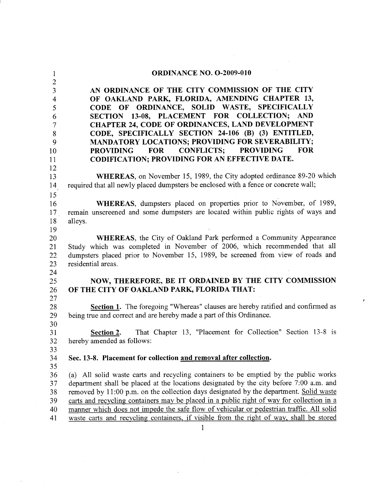| $\mathbf{1}$             | <b>ORDINANCE NO. O-2009-010</b>                                                                                   |
|--------------------------|-------------------------------------------------------------------------------------------------------------------|
| $\overline{2}$           |                                                                                                                   |
| 3                        | AN ORDINANCE OF THE CITY COMMISSION OF THE CITY                                                                   |
| $\overline{\mathcal{A}}$ | OF OAKLAND PARK, FLORIDA, AMENDING CHAPTER 13,                                                                    |
| 5                        | CODE OF ORDINANCE, SOLID WASTE, SPECIFICALLY                                                                      |
| 6                        | SECTION 13-08, PLACEMENT FOR COLLECTION;<br><b>AND</b><br><b>CHAPTER 24, CODE OF ORDINANCES, LAND DEVELOPMENT</b> |
| 7<br>8                   | CODE, SPECIFICALLY SECTION 24-106 (B) (3) ENTITLED,                                                               |
| 9                        | <b>MANDATORY LOCATIONS; PROVIDING FOR SEVERABILITY;</b>                                                           |
| 10                       | <b>CONFLICTS: PROVIDING</b><br><b>FOR</b><br><b>FOR</b><br><b>PROVIDING</b>                                       |
| 11                       | <b>CODIFICATION; PROVIDING FOR AN EFFECTIVE DATE.</b>                                                             |
| 12                       |                                                                                                                   |
| 13                       | <b>WHEREAS</b> , on November 15, 1989, the City adopted ordinance 89-20 which                                     |
| 14                       | required that all newly placed dumpsters be enclosed with a fence or concrete wall;                               |
| 15                       |                                                                                                                   |
| 16                       | WHEREAS, dumpsters placed on properties prior to November, of 1989,                                               |
| 17                       | remain unscreened and some dumpsters are located within public rights of ways and                                 |
| 18                       | alleys.                                                                                                           |
| 19                       |                                                                                                                   |
| 20                       | WHEREAS, the City of Oakland Park performed a Community Appearance                                                |
| 21                       | Study which was completed in November of 2006, which recommended that all                                         |
| 22<br>23                 | dumpsters placed prior to November 15, 1989, be screened from view of roads and<br>residential areas.             |
| 24                       |                                                                                                                   |
| 25                       | NOW, THEREFORE, BE IT ORDAINED BY THE CITY COMMISSION                                                             |
| 26                       | OF THE CITY OF OAKLAND PARK, FLORIDA THAT:                                                                        |
| 27                       |                                                                                                                   |
| 28                       | Section 1. The foregoing "Whereas" clauses are hereby ratified and confirmed as                                   |
| 29                       | being true and correct and are hereby made a part of this Ordinance.                                              |
| 30                       |                                                                                                                   |
| 31                       | That Chapter 13, "Placement for Collection" Section 13-8 is<br><b>Section 2.</b>                                  |
| 32                       | hereby amended as follows:                                                                                        |
| 33<br>34                 | Sec. 13-8. Placement for collection and removal after collection.                                                 |
| 35                       |                                                                                                                   |
| 36                       | (a) All solid waste carts and recycling containers to be emptied by the public works                              |
| 37                       | department shall be placed at the locations designated by the city before 7:00 a.m. and                           |
| 38                       | removed by 11:00 p.m. on the collection days designated by the department. Solid waste                            |
| 39                       | carts and recycling containers may be placed in a public right of way for collection in a                         |
| 40                       | manner which does not impede the safe flow of vehicular or pedestrian traffic. All solid                          |
| 41                       | waste carts and recycling containers, if visible from the right of way, shall be stored                           |
|                          |                                                                                                                   |

 $\label{eq:2} \frac{1}{\sqrt{2}}\left(\frac{1}{\sqrt{2}}\right)^{2} \left(\frac{1}{\sqrt{2}}\right)^{2} \left(\frac{1}{\sqrt{2}}\right)^{2} \left(\frac{1}{\sqrt{2}}\right)^{2} \left(\frac{1}{\sqrt{2}}\right)^{2} \left(\frac{1}{\sqrt{2}}\right)^{2} \left(\frac{1}{\sqrt{2}}\right)^{2} \left(\frac{1}{\sqrt{2}}\right)^{2} \left(\frac{1}{\sqrt{2}}\right)^{2} \left(\frac{1}{\sqrt{2}}\right)^{2} \left(\frac{1}{\sqrt{2}}\right)^{2} \left(\frac{$ 

 $\hat{\mathcal{A}}$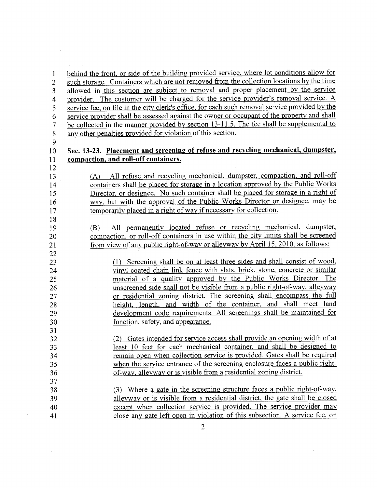behind the front, or side of the building provided service, where lot conditions allow for  $\mathbf{1}$ such storage. Containers which are not removed from the collection locations by the time  $\overline{2}$ allowed in this section are subject to removal and proper placement by the service 3 provider. The customer will be charged for the service provider's removal service. A  $\overline{4}$ service fee, on file in the city clerk's office, for each such removal service provided by the 5 service provider shall be assessed against the owner or occupant of the property and shall 6 be collected in the manner provided by section 13-11.5. The fee shall be supplemental to  $\overline{7}$ any other penalties provided for violation of this section. 8

9

12

13

14

15

16

 $17$ 18

19

20

21 22

23

24

25

26

27

28

29 30

31

32

33

34

35

36 37

38

39

40

41

## Sec. 13-23. Placement and screening of refuse and recycling mechanical, dumpster, 10 compaction, and roll-off containers. 11

(A) All refuse and recycling mechanical, dumpster, compaction, and roll-off containers shall be placed for storage in a location approved by the Public Works Director, or designee. No such container shall be placed for storage in a right of way, but with the approval of the Public Works Director or designee, may be temporarily placed in a right of way if necessary for collection.

All permanently located refuse or recycling mechanical, dumpster, (B) compaction, or roll-off containers in use within the city limits shall be screened from view of any public right-of-way or alleyway by April 15, 2010, as follows:

(1) Screening shall be on at least three sides and shall consist of wood, vinyl-coated chain-link fence with slats, brick, stone, concrete or similar material of a quality approved by the Public Works Director. The unscreened side shall not be visible from a public right-of-way, alleyway or residential zoning district. The screening shall encompass the full height, length, and width of the container, and shall meet land development code requirements. All screenings shall be maintained for function, safety, and appearance.

(2) Gates intended for service access shall provide an opening width of at least 10 feet for each mechanical container, and shall be designed to remain open when collection service is provided. Gates shall be required when the service entrance of the screening enclosure faces a public rightof-way, alleyway or is visible from a residential zoning district.

(3) Where a gate in the screening structure faces a public right-of-way, alleyway or is visible from a residential district, the gate shall be closed except when collection service is provided. The service provider may close any gate left open in violation of this subsection. A service fee, on

 $\overline{2}$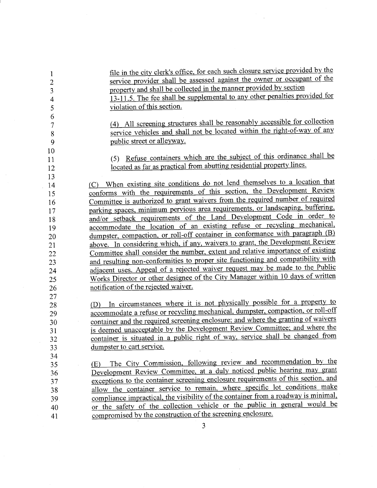| 1              | file in the city clerk's office, for each such closure service provided by the     |
|----------------|------------------------------------------------------------------------------------|
| $\overline{c}$ | service provider shall be assessed against the owner or occupant of the            |
| 3              | property and shall be collected in the manner provided by section                  |
| 4              | 13-11.5. The fee shall be supplemental to any other penalties provided for         |
| 5              | violation of this section.                                                         |
| 6              |                                                                                    |
| 7              | (4) All screening structures shall be reasonably accessible for collection         |
| 8              | service vehicles and shall not be located within the right-of-way of any           |
| 9              | public street or alleyway.                                                         |
| 10             |                                                                                    |
| 11             | Refuse containers which are the subject of this ordinance shall be<br>(5)          |
| 12             | located as far as practical from abutting residential property lines.              |
| 13             |                                                                                    |
| 14             | When existing site conditions do not lend themselves to a location that<br>(C)     |
| 15             | conforms with the requirements of this section, the Development Review             |
| 16             | Committee is authorized to grant waivers from the required number of required      |
| 17             | parking spaces, minimum pervious area requirements, or landscaping, buffering,     |
| 18             | and/or setback requirements of the Land Development Code in order to               |
| 19             | accommodate the location of an existing refuse or recycling mechanical,            |
| 20             | dumpster, compaction, or roll-off container in conformance with paragraph (B)      |
| 21             | above. In considering which, if any, waivers to grant, the Development Review      |
| 22             | Committee shall consider the number, extent and relative importance of existing    |
| 23             | and resulting non-conformities to proper site functioning and compatibility with   |
| 24             | adjacent uses. Appeal of a rejected waiver request may be made to the Public       |
| 25             | Works Director or other designee of the City Manager within 10 days of written     |
| 26             | notification of the rejected waiver.                                               |
| 27             |                                                                                    |
| 28             | In circumstances where it is not physically possible for a property to<br>(D)      |
| 29             | accommodate a refuse or recycling mechanical, dumpster, compaction, or roll-off    |
| 30             | container and the required screening enclosure; and where the granting of waivers  |
| 31             | is deemed unacceptable by the Development Review Committee; and where the          |
| 32             | container is situated in a public right of way, service shall be changed from      |
| 33             | dumpster to cart service.                                                          |
| 34             |                                                                                    |
| 35             | The City Commission, following review and recommendation by the<br>(E)             |
| 36             | Development Review Committee, at a duly noticed public hearing may grant           |
| 37             | exceptions to the container screening enclosure requirements of this section, and  |
| 38             | allow the container service to remain, where specific lot conditions make          |
| 39             | compliance impractical, the visibility of the container from a roadway is minimal, |
| 40             | or the safety of the collection vehicle or the public in general would be          |
| 41             | compromised by the construction of the screening enclosure.                        |
|                | 3                                                                                  |

 $\label{eq:2.1} \begin{split} \mathcal{L}_{\text{max}}(\mathbf{r}) = \mathcal{L}_{\text{max}}(\mathbf{r}) \mathcal{L}_{\text{max}}(\mathbf{r}) \mathcal{L}_{\text{max}}(\mathbf{r}) \mathcal{L}_{\text{max}}(\mathbf{r}) \mathcal{L}_{\text{max}}(\mathbf{r}) \mathcal{L}_{\text{max}}(\mathbf{r}) \mathcal{L}_{\text{max}}(\mathbf{r}) \mathcal{L}_{\text{max}}(\mathbf{r}) \mathcal{L}_{\text{max}}(\mathbf{r}) \mathcal{L}_{\text{max}}(\mathbf{r}) \mathcal{L}_{\text{max}}(\mathbf{r}) \$ 

 $\sim 10^{-1}$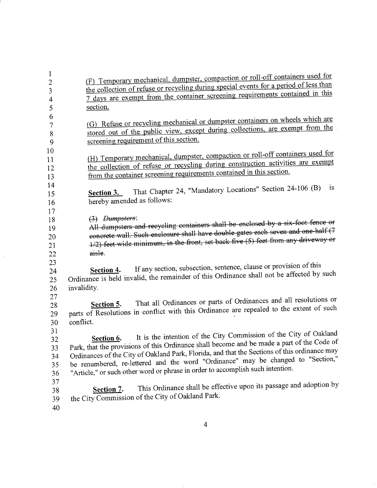| $\mathbf{1}$   |                                                                                              |  |  |  |
|----------------|----------------------------------------------------------------------------------------------|--|--|--|
| $\overline{c}$ | (F) Temporary mechanical, dumpster, compaction or roll-off containers used for               |  |  |  |
| 3              | the collection of refuse or recycling during special events for a period of less than        |  |  |  |
| 4              | 7 days are exempt from the container screening requirements contained in this                |  |  |  |
| 5              | section.                                                                                     |  |  |  |
| 6              |                                                                                              |  |  |  |
| 7              | (G) Refuse or recycling mechanical or dumpster containers on wheels which are                |  |  |  |
| 8              | stored out of the public view, except during collections, are exempt from the                |  |  |  |
| 9              | screening requirement of this section.                                                       |  |  |  |
| 10             |                                                                                              |  |  |  |
| 11             | (H) Temporary mechanical, dumpster, compaction or roll-off containers used for               |  |  |  |
| 12             | the collection of refuse or recycling during construction activities are exempt              |  |  |  |
| 13             | from the container screening requirements contained in this section.                         |  |  |  |
| 14             |                                                                                              |  |  |  |
| 15             | That Chapter 24, "Mandatory Locations" Section 24-106 (B)<br><b>1S</b><br>Section 3.         |  |  |  |
| 16             | hereby amended as follows:                                                                   |  |  |  |
| 17             |                                                                                              |  |  |  |
| 18             | $(3)$ Dumpsters:                                                                             |  |  |  |
| 19             | All dumpsters and recycling containers shall be enclosed by a six-foot fence or              |  |  |  |
| 20             | concrete wall. Such enclosure shall have double gates each seven and one-half (7             |  |  |  |
| 21             | 4/2) feet wide minimum, in the front, set back five (5) feet from any driveway or            |  |  |  |
| 22             | aisle.                                                                                       |  |  |  |
| 23             |                                                                                              |  |  |  |
| 24             | If any section, subsection, sentence, clause or provision of this<br>Section 4.              |  |  |  |
| 25             | Ordinance is held invalid, the remainder of this Ordinance shall not be affected by such     |  |  |  |
| 26             | invalidity.                                                                                  |  |  |  |
| 27             |                                                                                              |  |  |  |
| 28             | That all Ordinances or parts of Ordinances and all resolutions or<br>Section 5.              |  |  |  |
| 29             | parts of Resolutions in conflict with this Ordinance are repealed to the extent of such      |  |  |  |
| 30             | conflict.                                                                                    |  |  |  |
| 31             |                                                                                              |  |  |  |
| 32             | It is the intention of the City Commission of the City of Oakland<br>Section 6.              |  |  |  |
| 33             | Park, that the provisions of this Ordinance shall become and be made a part of the Code of   |  |  |  |
| 34             | Ordinances of the City of Oakland Park, Florida, and that the Sections of this ordinance may |  |  |  |
| 35             | be renumbered, re-lettered and the word "Ordinance" may be changed to "Section,"             |  |  |  |
| 36             | "Article," or such other word or phrase in order to accomplish such intention.               |  |  |  |
| 37             |                                                                                              |  |  |  |
| 38             | This Ordinance shall be effective upon its passage and adoption by<br>Section 7.             |  |  |  |
| 39             | the City Commission of the City of Oakland Park.                                             |  |  |  |
| 40             |                                                                                              |  |  |  |
|                |                                                                                              |  |  |  |
|                |                                                                                              |  |  |  |

 $\overline{4}$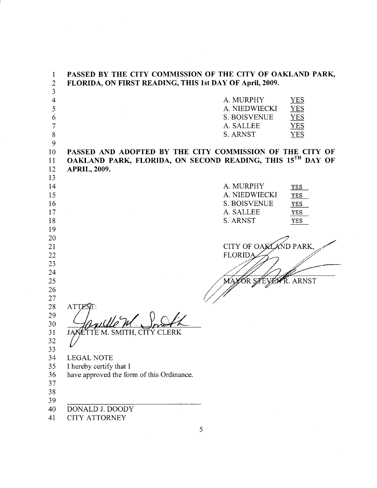| 1              | PASSED BY THE CITY COMMISSION OF THE CITY OF OAKLAND PARK, |                       |                  |
|----------------|------------------------------------------------------------|-----------------------|------------------|
| $\overline{2}$ | FLORIDA, ON FIRST READING, THIS 1st DAY OF April, 2009.    |                       |                  |
| 3              |                                                            |                       |                  |
| $\overline{4}$ |                                                            | A. MURPHY             | <b>YES</b>       |
| 5              |                                                            | A. NIEDWIECKI         | <b>YES</b>       |
| 6              |                                                            | S. BOISVENUE          | <b>YES</b>       |
| $\overline{7}$ |                                                            | A. SALLEE             | YES              |
| 8              |                                                            | S. ARNST              | <b>YES</b>       |
| 9              |                                                            |                       |                  |
| 10             | PASSED AND ADOPTED BY THE CITY COMMISSION OF THE CITY OF   |                       |                  |
| 11             | OAKLAND PARK, FLORIDA, ON SECOND READING, THIS 15TH DAY OF |                       |                  |
| 12             | <b>APRIL, 2009.</b>                                        |                       |                  |
| 13             |                                                            |                       |                  |
| 14             |                                                            | A. MURPHY             | <b>YES</b>       |
| 15             |                                                            | A. NIEDWIECKI         | <b>YES</b>       |
| 16             |                                                            | <b>S. BOISVENUE</b>   | YES              |
| 17             |                                                            | A. SALLEE             | YES              |
| 18             |                                                            | S. ARNST              | <b>YES</b>       |
| 19             |                                                            |                       |                  |
| 20             |                                                            |                       |                  |
| 21             |                                                            | CITY OF OAKLAND PARK, |                  |
| 22             |                                                            | <b>FLORIDA</b>        |                  |
| 23             |                                                            |                       |                  |
| 24             |                                                            |                       |                  |
| 25             |                                                            |                       | <b>R</b> . ARNST |
| 26             |                                                            |                       |                  |
| 27             |                                                            |                       |                  |
| 28             | <b>ATTE</b>                                                |                       |                  |
| 29             |                                                            |                       |                  |
| 30             |                                                            |                       |                  |
| 31             | TE M. SMITH, CITY CLERK<br>JAN                             |                       |                  |
| 32             |                                                            |                       |                  |
| 33             |                                                            |                       |                  |
| 34<br>35       | <b>LEGAL NOTE</b><br>I hereby certify that I               |                       |                  |
| 36             | have approved the form of this Ordinance.                  |                       |                  |
| 37             |                                                            |                       |                  |
| 38             |                                                            |                       |                  |
| 39             |                                                            |                       |                  |
| 40             | DONALD J. DOODY                                            |                       |                  |
| 41             | <b>CITY ATTORNEY</b>                                       |                       |                  |
|                |                                                            |                       |                  |

 $\frac{1}{2} \sum_{i=1}^n \frac{1}{2} \sum_{j=1}^n \frac{1}{2} \sum_{j=1}^n \frac{1}{2} \sum_{j=1}^n \frac{1}{2} \sum_{j=1}^n \frac{1}{2} \sum_{j=1}^n \frac{1}{2} \sum_{j=1}^n \frac{1}{2} \sum_{j=1}^n \frac{1}{2} \sum_{j=1}^n \frac{1}{2} \sum_{j=1}^n \frac{1}{2} \sum_{j=1}^n \frac{1}{2} \sum_{j=1}^n \frac{1}{2} \sum_{j=1}^n \frac{1}{2} \sum_{j=$ 

 $\overline{5}$ 

 $\label{eq:2.1} \frac{1}{\sqrt{2}}\int_{0}^{\infty}\frac{1}{\sqrt{2\pi}}\left(\frac{1}{\sqrt{2\pi}}\right)^{2}d\mu_{\rm{max}}\,.$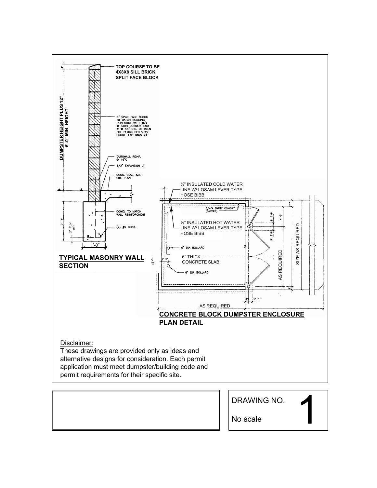

DRAWING NO.

1

No scale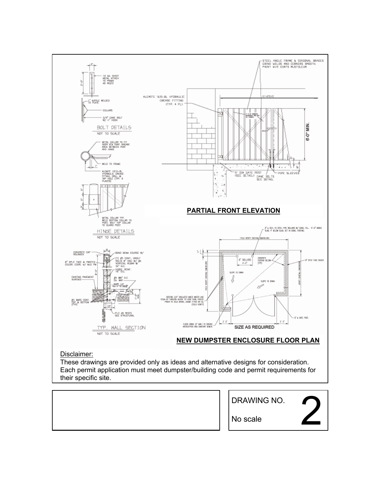

These drawings are provided only as ideas and alternative designs for consideration. Each permit application must meet dumpster/building code and permit requirements for their specific site.

|  | DRAWING NO. |  |
|--|-------------|--|
|  | No scale    |  |